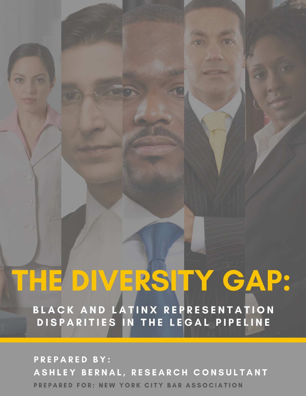# THE DIVERSITY GAP:

100

BLACK AND LATINX REPRESENTATION DISPARITIES IN THE LEGAL PIPELINE

**PREPARED BY:** ASHLEY BERNAL, RESEARCH CONSULTANT PREPARED FOR: NEW YORK CITY BAR ASSOCIATION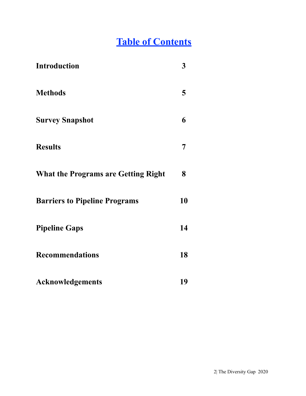#### **Table of Contents**

| <b>Introduction</b>                        | 3  |
|--------------------------------------------|----|
| <b>Methods</b>                             | 5  |
| <b>Survey Snapshot</b>                     | 6  |
| <b>Results</b>                             | 7  |
| <b>What the Programs are Getting Right</b> | 8  |
| <b>Barriers to Pipeline Programs</b>       | 10 |
| <b>Pipeline Gaps</b>                       | 14 |
| <b>Recommendations</b>                     | 18 |
| <b>Acknowledgements</b>                    | 19 |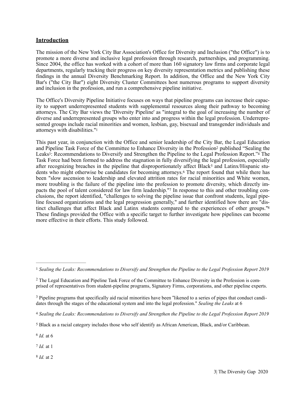#### **Introduction**

The mission of the New York City Bar Association's Office for Diversity and Inclusion ("the Office") is to promote a more diverse and inclusive legal profession through research, partnerships, and programming. Since 2004, the office has worked with a cohort of more than 160 signatory law firms and corporate legal departments, regularly tracking their progress on key diversity representation metrics and publishing these findings in the annual Diversity Benchmarking Report. In addition, the Office and the New York City Bar's ("the City Bar") eight Diversity Cluster Committees host numerous programs to support diversity and inclusion in the profession, and run a comprehensive pipeline initiative.

The Office's Diversity Pipeline Initiative focuses on ways that pipeline programs can increase their capacity to support underrepresented students with supplemental resources along their pathway to becoming attorneys. The City Bar views the 'Diversity Pipeline' as "integral to the goal of increasing the number of diverse and underrepresented groups who enter into and progress within the legal profession. Underrepresented groups include racial minorities and women, lesbian, gay, bisexual and transgender individuals and attorneys with disabilities."<sup>1</sup>

This past year, in conjunction with the Office and senior leadership of the City Bar, the Legal Education and Pipeline Task Force of the Committee to Enhance Diversity in the Profession<sup>2</sup> published "Sealing the Leaks<sup>3</sup>: Recommendations to Diversify and Strengthen the Pipeline to the Legal Profession Report.<sup>34</sup> The Task Force had been formed to address the stagnation in fully diversifying the legal profession, especially after recognizing breaches in the pipeline that disproportionately affect Black<sup>5</sup> and Latinx/Hispanic students who might otherwise be candidates for becoming attorneys.<sup>6</sup> The report found that while there has been "slow ascension to leadership and elevated attrition rates for racial minorities and White women, more troubling is the failure of the pipeline into the profession to promote diversity, which directly impacts the pool of talent considered for law firm leadership."7 In response to this and other troubling conclusions, the report identified, "challenges to solving the pipeline issue that confront students, legal pipeline focused organizations and the legal progression generally," and further identified how there are "distinct challenges that affect Black and Latinx students compared to the experiences of other groups."<sup>8</sup> These findings provided the Office with a specific target to further investigate how pipelines can become more effective in their efforts. This study followed.

<sup>6</sup> *Id.* at 6

7 *Id.* at 1

<sup>8</sup> *Id.* at 2

<sup>1</sup> *Sealing the Leaks: Recommendations to Diversify and Strengthen the Pipeline to the Legal Profession Report 2019*

<sup>&</sup>lt;sup>2</sup> The Legal Education and Pipeline Task Force of the Committee to Enhance Diversity in the Profession is comprised of representatives from student-pipeline programs, Signatory Firms, corporations, and other pipeline experts.

<sup>&</sup>lt;sup>3</sup> Pipeline programs that specifically aid racial minorities have been "likened to a series of pipes that conduct candidates through the stages of the educational system and into the legal profession." *Sealing the Leaks* at 6

<sup>4</sup> *Sealing the Leaks: Recommendations to Diversify and Strengthen the Pipeline to the Legal Profession Report 2019*

Black as a racial category includes those who self identify as African American, Black, and/or Caribbean. 5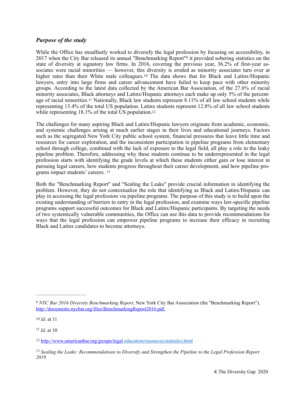#### *Purpose of the study*

While the Office has steadfastly worked to diversify the legal profession by focusing on accessibility, in 2017 when the City Bar released its annual "Benchmarking Report"<sup>9</sup> it provided sobering statistics on the state of diversity at signatory law firms. In 2016, covering the previous year, 36.2% of first-year associates were racial minorities — however, this diversity is eroded as minority associates turn over at higher rates than their White male colleagues.<sup>10</sup> The data shows that for Black and Latinx/Hispanic lawyers, entry into large firms and career advancement have failed to keep pace with other minority groups. According to the latest data collected by the American Bar Association, of the 27.6% of racial minority associates, Black attorneys and Latinx/Hispanic attorneys each make up only 5% of the percentage of racial minorities.<sup>11</sup> Nationally, Black law students represent 8.11% of all law school students while representing 13.4% of the total US population. Latinx students represent 12.8% of all law school students while representing 18.1% of the total US population.<sup>12</sup>

The challenges for many aspiring Black and Latinx/Hispanic lawyers originate from academic, economic, and systemic challenges arising at much earlier stages in their lives and educational journeys. Factors such as the segregated New York City public school system, financial pressures that leave little time and resources for career exploration, and the inconsistent participation in pipeline programs from elementary school through college, combined with the lack of exposure to the legal field, all play a role in the leaky pipeline problem. Therefore, addressing why these students continue to be underrepresented in the legal profession starts with identifying the grade levels at which these students either gain or lose interest in pursuing legal careers, how students progress throughout their career development, and how pipeline programs impact students' careers. <sup>13</sup>

Both the "Benchmarking Report" and "Sealing the Leaks" provide crucial information in identifying the problem. However, they do not contextualize the role that identifying as Black and Latinx/Hispanic can play in accessing the legal profession via pipeline programs. The purpose of this study is to build upon the existing understanding of barriers to entry in the legal profession, and examine ways law-specific pipeline programs support successful outcomes for Black and Latinx/Hispanic participants. By targeting the needs of two systemically vulnerable communities, the Office can use this data to provide recommendations for ways that the legal profession can empower pipeline programs to increase their efficacy in recruiting Black and Latinx candidates to become attorneys.

 $11$  *Id.* at 10

*NYC Bar 2016 Diversity Benchmarking Report,* New York City Bar Association (the "Benchmarking Report")*,*  9 http://documents.nycbar.org/files/BenchmarkingReport2016.pdf.

<sup>10</sup> *Id.* at 11

http://www.americanbar.org/groups/legal education/resources/statistics.html 12

<sup>&</sup>lt;sup>13</sup> Sealing the Leaks: Recommendations to Diversify and Strengthen the Pipeline to the Legal Profession Report *2019*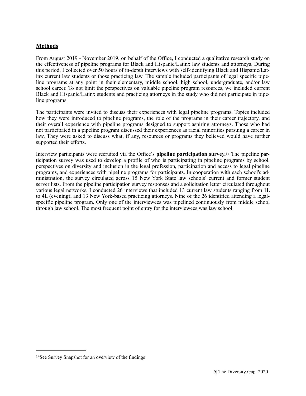#### **Methods**

From August 2019 - November 2019, on behalf of the Office, I conducted a qualitative research study on the effectiveness of pipeline programs for Black and Hispanic/Latinx law students and attorneys. During this period, I collected over 50 hours of in-depth interviews with self-identifying Black and Hispanic/Latinx current law students or those practicing law. The sample included participants of legal specific pipeline programs at any point in their elementary, middle school, high school, undergraduate, and/or law school career. To not limit the perspectives on valuable pipeline program resources, we included current Black and Hispanic/Latinx students and practicing attorneys in the study who did not participate in pipeline programs.

The participants were invited to discuss their experiences with legal pipeline programs. Topics included how they were introduced to pipeline programs, the role of the programs in their career trajectory, and their overall experience with pipeline programs designed to support aspiring attorneys. Those who had not participated in a pipeline program discussed their experiences as racial minorities pursuing a career in law. They were asked to discuss what, if any, resources or programs they believed would have further supported their efforts.

Interview participants were recruited via the Office's **pipeline participation survey.**<sup>14</sup> The pipeline participation survey was used to develop a profile of who is participating in pipeline programs by school, perspectives on diversity and inclusion in the legal profession, participation and access to legal pipeline programs, and experiences with pipeline programs for participants. In cooperation with each school's administration, the survey circulated across 15 New York State law schools' current and former student server lists. From the pipeline participation survey responses and a solicitation letter circulated throughout various legal networks, I conducted 26 interviews that included 13 current law students ranging from 1L to 4L (evening), and 13 New York-based practicing attorneys. Nine of the 26 identified attending a legalspecific pipeline program. Only one of the interviewees was pipelined continuously from middle school through law school. The most frequent point of entry for the interviewees was law school.

<sup>&</sup>lt;sup>14</sup>See Survey Snapshot for an overview of the findings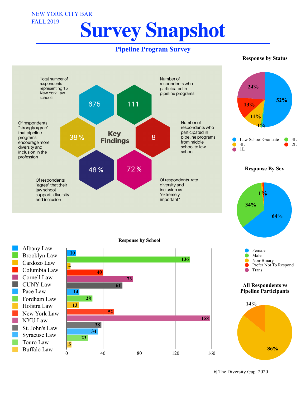## **Survey Snapshot**

NEW YORK CITY BAR

FALL 2019

#### **Pipeline Program Survey**

#### **Response by Status**



6| The Diversity Gap 2020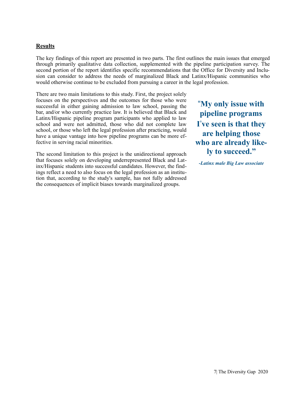#### **Results**

The key findings of this report are presented in two parts. The first outlines the main issues that emerged through primarily qualitative data collection, supplemented with the pipeline participation survey. The second portion of the report identifies specific recommendations that the Office for Diversity and Inclusion can consider to address the needs of marginalized Black and Latinx/Hispanic communities who would otherwise continue to be excluded from pursuing a career in the legal profession.

There are two main limitations to this study. First, the project solely focuses on the perspectives and the outcomes for those who were successful in either gaining admission to law school, passing the bar, and/or who currently practice law. It is believed that Black and Latinx/Hispanic pipeline program participants who applied to law school and were not admitted, those who did not complete law school, or those who left the legal profession after practicing, would have a unique vantage into how pipeline programs can be more effective in serving racial minorities.

The second limitation to this project is the unidirectional approach that focuses solely on developing underrepresented Black and Latinx/Hispanic students into successful candidates. However, the findings reflect a need to also focus on the legal profession as an institution that, according to the study's sample, has not fully addressed the consequences of implicit biases towards marginalized groups.

"**My only issue with pipeline programs I**'**ve seen is that they are helping those who are already likely to succeed."** 

**-***Latinx male Big Law associate*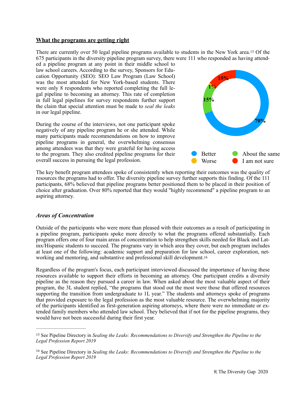#### **What the programs are getting right**

There are currently over 50 legal pipeline programs available to students in the New York area.<sup>15</sup> Of the 675 participants in the diversity pipeline program survey, there were 111 who responded as having attended a pipeline program at any point in their middle school to

law school careers. According to the survey, Sponsors for Education Opportunity (SEO): SEO Law Program (Law School) was the most attended for New York-based students. There were only 8 respondents who reported completing the full legal pipeline to becoming an attorney. This rate of completion in full legal pipelines for survey respondents further support the claim that special attention must be made to *seal the leaks* in our legal pipeline.

During the course of the interviews, not one participant spoke negatively of any pipeline program he or she attended. While many participants made recommendations on how to improve pipeline programs in general, the overwhelming consensus among attendees was that they were grateful for having access to the program. They also credited pipeline programs for their overall success in pursuing the legal profession.



The key benefit program attendees spoke of consistently when reporting their outcomes was the quality of resources the programs had to offer. The diversity pipeline survey further supports this finding. Of the 111 participants, 68% believed that pipeline programs better positioned them to be placed in their position of choice after graduation. Over 80% reported that they would "highly recommend" a pipeline program to an aspiring attorney.

#### *Areas of Concentration*

Outside of the participants who were more than pleased with their outcomes as a result of participating in a pipeline program, participants spoke more directly to what the programs offered substantially. Each program offers one of four main areas of concentration to help strengthen skills needed for Black and Latinx/Hispanic students to succeed. The programs vary in which area they cover, but each program includes at least one of the following: academic support and preparation for law school, career exploration, networking and mentoring, and substantive and professional skill development. <sup>16</sup>

Regardless of the program's focus, each participant interviewed discussed the importance of having these resources available to support their efforts in becoming an attorney. One participant credits a diversity pipeline as the reason they pursued a career in law. When asked about the most valuable aspect of their program, the 3L student replied, "the programs that stood out the most were those that offered resources supporting the transition from undergraduate to 1L year." The students and attorneys spoke of programs that provided exposure to the legal profession as the most valuable resource. The overwhelming majority of the participants identified as first-generation aspiring attorneys, where there were no immediate or extended family members who attended law school. They believed that if not for the pipeline programs, they would have not been successful during their first year.

<sup>&</sup>lt;sup>15</sup> See Pipeline Directory in *Sealing the Leaks: Recommendations to Diversify and Strengthen the Pipeline to the Legal Profession Report 2019* 

<sup>&</sup>lt;sup>16</sup> See Pipeline Directory in *Sealing the Leaks: Recommendations to Diversify and Strengthen the Pipeline to the Legal Profession Report 2019*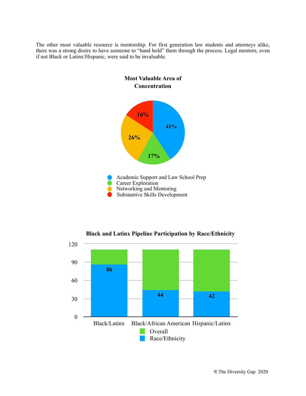The other most valuable resource is mentorship. For first generation law students and attorneys alike, there was a strong desire to have someone to "hand hold" them through the process. Legal mentors, even if not Black or Latinx/Hispanic, were said to be invaluable.



**Black and Latinx Pipeline Participation by Race/Ethnicity** 

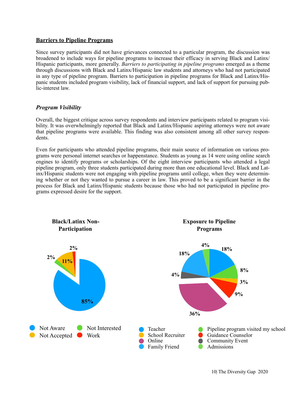#### **Barriers to Pipeline Programs**

Since survey participants did not have grievances connected to a particular program, the discussion was broadened to include ways for pipeline programs to increase their efficacy in serving Black and Latinx/ Hispanic participants, more generally. *Barriers to participating in pipeline programs* emerged as a theme through discussions with Black and Latinx/Hispanic law students and attorneys who had not participated in any type of pipeline program. Barriers to participation in pipeline programs for Black and Latinx/Hispanic students included program visibility, lack of financial support, and lack of support for pursuing public-interest law.

#### *Program Visibility*

Overall, the biggest critique across survey respondents and interview participants related to program visibility. It was overwhelmingly reported that Black and Latinx/Hispanic aspiring attorneys were not aware that pipeline programs were available. This finding was also consistent among all other survey respondents.

Even for participants who attended pipeline programs, their main source of information on various programs were personal internet searches or happenstance. Students as young as 14 were using online search engines to identify programs or scholarships. Of the eight interview participants who attended a legal pipeline program, only three students participated during more than one educational level. Black and Latinx/Hispanic students were not engaging with pipeline programs until college, when they were determining whether or not they wanted to pursue a career in law. This proved to be a significant barrier in the process for Black and Latinx/Hispanic students because those who had not participated in pipeline programs expressed desire for the support.

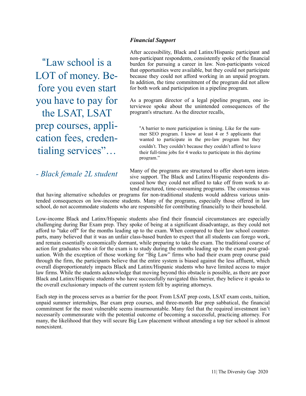#### *Financial Support*

"Law school is a LOT of money. Before you even start you have to pay for the LSAT, LSAT prep courses, application fees, credentialing services"…

#### *- Black female 2L student*

After accessibility, Black and Latinx/Hispanic participant and non-participant respondents, consistently spoke of the financial burden for pursuing a career in law. Non-participants voiced that opportunities were available, but they could not participate because they could not afford working in an unpaid program. In addition, the time commitment of the program did not allow for both work and participation in a pipeline program.

As a program director of a legal pipeline program, one interviewee spoke about the unintended consequences of the program's structure. As the director recalls,

"A barrier to more participation is timing. Like for the summer SEO program. I know at least 4 or 5 applicants that wanted to participate in the pre-law program but they couldn't. They couldn't because they couldn't afford to leave their full-time jobs for 4 weeks to participate in this daytime program."

Many of the programs are structured to offer short-term intensive support. The Black and Latinx/Hispanic respondents discussed how they could not afford to take off from work to attend structured, time-consuming programs. The consensus was

that having alternative schedules or programs for non-traditional students would address various unintended consequences on low-income students. Many of the programs, especially those offered in law school, do not accommodate students who are responsible for contributing financially to their household.

Low-income Black and Latinx/Hispanic students also find their financial circumstances are especially challenging during Bar Exam prep. They spoke of being at a significant disadvantage, as they could not afford to "take off" for the months leading up to the exam. When compared to their law school counterparts, many believed that it was an unfair class-based burden to expect that all students can forego work, and remain essentially economically dormant, while preparing to take the exam. The traditional course of action for graduates who sit for the exam is to study during the months leading up to the exam post-graduation. With the exception of those working for "Big Law" firms who had their exam prep course paid through the firm, the participants believe that the entire system is biased against the less affluent, which overall disproportionately impacts Black and Latinx/Hispanic students who have limited access to major law firms. While the students acknowledge that moving beyond this obstacle is possible, as there are poor Black and Latinx/Hispanic students who have successfully navigated this barrier, they believe it speaks to the overall exclusionary impacts of the current system felt by aspiring attorneys.

Each step in the process serves as a barrier for the poor. From LSAT prep costs, LSAT exam costs, tuition, unpaid summer internships, Bar exam prep courses, and three-month Bar prep sabbatical, the financial commitment for the most vulnerable seems insurmountable. Many feel that the required investment isn't necessarily commensurate with the potential outcome of becoming a successful, practicing attorney. For many, the likelihood that they will secure Big Law placement without attending a top tier school is almost nonexistent.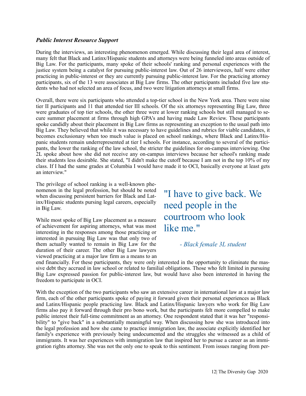#### *Public Interest Resource Support*

During the interviews, an interesting phenomenon emerged. While discussing their legal area of interest, many felt that Black and Latinx/Hispanic students and attorneys were being funneled into areas outside of Big Law. For the participants, many spoke of their schools' ranking and personal experiences with the justice system being a catalyst for pursuing public-interest law. Out of 26 interviewees, half were either practicing in public-interest or they are currently pursuing public-interest law. For the practicing attorney participants, six of the 13 were associates at Big Law firms. The other participants included five law students who had not selected an area of focus, and two were litigation attorneys at small firms.

Overall, there were six participants who attended a top-tier school in the New York area. There were nine tier II participants and 11 that attended tier III schools. Of the six attorneys representing Big Law, three were graduates of top tier schools, the other three were at lower ranking schools but still managed to secure summer placement at firms through high GPA's and having made Law Review. These participants spoke candidly about their placement in Big Law firms as representing an exception to the usual path into Big Law. They believed that while it was necessary to have guidelines and rubrics for viable candidates, it becomes exclusionary when too much value is placed on school rankings, where Black and Latinx/Hispanic students remain underrepresented at tier I schools. For instance, according to several of the participants, the lower the ranking of the law school, the stricter the guidelines for on-campus interviewing. One 2L spoke about how she did not receive any on-campus interviews because her school's ranking made their students less desirable. She stated, "I didn't make the cutoff because I am not in the top 10% of my class. If I had the same grades at Columbia I would have made it to OCI, basically everyone at least gets an interview."

The privilege of school ranking is a well-known phenomenon in the legal profession, but should be noted when discussing persistent barriers for Black and Latinx/Hispanic students pursing legal careers, especially in Big Law.

While most spoke of Big Law placement as a measure of achievement for aspiring attorneys, what was most interesting in the responses among those practicing or interested in pursuing Big Law was that only two of them actually wanted to remain in Big Law for the duration of their career. The other Big Law lawyers viewed practicing at a major law firm as a means to an

"I have to give back. We need people in the courtroom who look like me."

*- Black female 3L student* 

end financially. For these participants, they were only interested in the opportunity to eliminate the massive debt they accrued in law school or related to familial obligations. Those who felt limited in pursuing Big Law expressed passion for public-interest law, but would have also been interested in having the freedom to participate in OCI.

With the exception of the two participants who saw an extensive career in international law at a major law firm, each of the other participants spoke of paying it forward given their personal experiences as Black and Latinx/Hispanic people practicing law. Black and Latinx/Hispanic lawyers who work for Big Law firms also pay it forward through their pro bono work, but the participants felt more compelled to make public interest their full-time commitment as an attorney. One respondent stated that it was her "responsibility" to "give back" in a substantially meaningful way. When discussing how she was introduced into the legal profession and how she came to practice immigration law, the associate explicitly identified her family's experience with previously being undocumented and the struggles she witnessed as a child of immigrants. It was her experiences with immigration law that inspired her to pursue a career as an immigration rights attorney. She was not the only one to speak to this sentiment. From issues ranging from per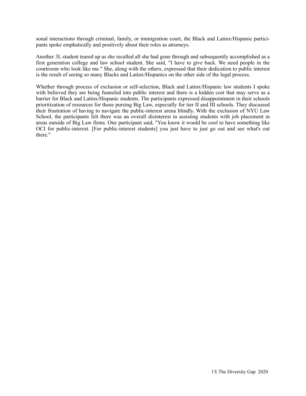sonal interactions through criminal, family, or immigration court, the Black and Latinx/Hispanic participants spoke emphatically and positively about their roles as attorneys.

Another 3L student teared up as she recalled all she had gone through and subsequently accomplished as a first generation college and law school student. She said, "I have to give back. We need people in the courtroom who look like me." She, along with the others, expressed that their dedication to public interest is the result of seeing so many Blacks and Latinx/Hispanics on the other side of the legal process.

Whether through process of exclusion or self-selection, Black and Latinx/Hispanic law students I spoke with believed they are being funneled into public interest and there is a hidden cost that may serve as a barrier for Black and Latinx/Hispanic students. The participants expressed disappointment in their schools prioritization of resources for those pursing Big Law, especially for tier II and III schools. They discussed their frustration of having to navigate the public-interest arena blindly. With the exclusion of NYU Law School, the participants felt there was an overall disinterest in assisting students with job placement in areas outside of Big Law firms. One participant said, "You know it would be cool to have something like OCI for public-interest. [For public-interest students] you just have to just go out and see what's out there."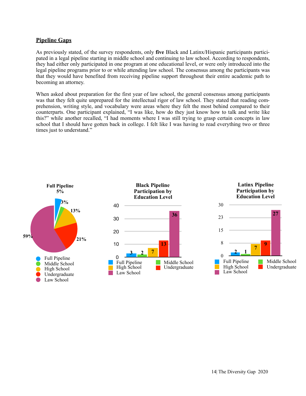#### **Pipeline Gaps**

As previously stated, of the survey respondents, only **five** Black and Latinx/Hispanic participants participated in a legal pipeline starting in middle school and continuing to law school. According to respondents, they had either only participated in one program at one educational level, or were only introduced into the legal pipeline programs prior to or while attending law school. The consensus among the participants was that they would have benefited from receiving pipeline support throughout their entire academic path to becoming an attorney.

When asked about preparation for the first year of law school, the general consensus among participants was that they felt quite unprepared for the intellectual rigor of law school. They stated that reading comprehension, writing style, and vocabulary were areas where they felt the most behind compared to their counterparts. One participant explained, "I was like, how do they just know how to talk and write like this?" while another recalled, "I had moments where I was still trying to grasp certain concepts in law school that I should have gotten back in college. I felt like I was having to read everything two or three times just to understand."

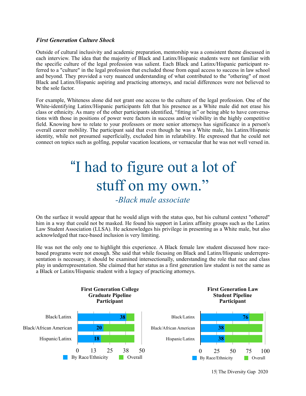#### *First Generation Culture Shock*

Outside of cultural inclusivity and academic preparation, mentorship was a consistent theme discussed in each interview. The idea that the majority of Black and Latinx/Hispanic students were not familiar with the specific culture of the legal profession was salient. Each Black and Latinx/Hispanic participant referred to a "culture" in the legal profession that excluded those from equal access to success in law school and beyond. They provided a very nuanced understanding of what contributed to the "othering" of most Black and Latinx/Hispanic aspiring and practicing attorneys, and racial differences were not believed to be the sole factor.

For example, Whiteness alone did not grant one access to the culture of the legal profession. One of the White-identifying Latinx/Hispanic participants felt that his presence as a White male did not erase his class or ethnicity. As many of the other participants identified, "fitting in" or being able to have conversations with those in positions of power were factors in success and/or visibility in the highly competitive field. Knowing how to relate to your professors or more senior attorneys has significance in a person's overall career mobility. The participant said that even though he was a White male, his Latinx/Hispanic identity, while not presumed superficially, excluded him in relatability. He expressed that he could not connect on topics such as golfing, popular vacation locations, or vernacular that he was not well versed in.

### "I had to figure out a lot of stuff on my own."

#### *-Black male associate*

On the surface it would appear that he would align with the status quo, but his cultural context "othered" him in a way that could not be masked. He found his support in Latinx affinity groups such as the Latinx Law Student Association (LLSA). He acknowledges his privilege in presenting as a White male, but also acknowledged that race-based inclusion is very limiting.

He was not the only one to highlight this experience. A Black female law student discussed how racebased programs were not enough. She said that while focusing on Black and Latinx/Hispanic underrepresentation is necessary, it should be examined intersectionally, understanding the role that race and class play in underrepresentation. She claimed that her status as a first generation law student is not the same as a Black or Latinx/Hispanic student with a legacy of practicing attorneys.

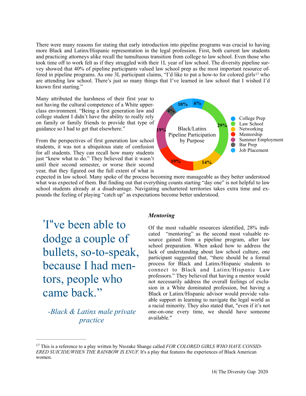There were many reasons for stating that early introduction into pipeline programs was crucial to having more Black and Latinx/Hispanic representation in the legal profession. First, both current law students and practicing attorneys alike recall the tumultuous transition from college to law school. Even those who took time off to work felt as if they struggled with their 1L year of law school. The diversity pipeline survey showed that 40% of pipeline participants valued law school prep as the most important resource offered in pipeline programs. As one 3L participant claims, "I'd like to put a how-to for colored girls<sup>17</sup> who are attending law school. There's just so many things that I've learned in law school that I wished I'd known first starting."

Many attributed the harshness of their first year to not having the cultural competence of a White upperclass environment. "Being a first generation law and college student I didn't have the ability to really rely on family or family friends to provide that type of guidance so I had to get that elsewhere."

From the perspectives of first generation law school students, it was not a ubiquitous state of confusion for all students. They can recall how many students just "knew what to do." They believed that it wasn't until their second semester, or worse their second year, that they figured out the full extent of what is



expected in law school. Many spoke of the process becoming more manageable as they better understood what was expected of them. But finding out that everything counts starting "day one" is not helpful to law school students already at a disadvantage. Navigating unchartered territories takes extra time and expounds the feeling of playing "catch up" as expectations become better understood.

'I"ve been able to dodge a couple of bullets, so-to-speak, because I had mentors, people who came back."

*-Black & Latinx male private practice* 

#### *Mentoring*

Of the most valuable resources identified, 28% indicated "mentoring" as the second most valuable resource gained from a pipeline program, after law school preparation. When asked how to address the lack of understanding about law school culture, one participant suggested that, "there should be a formal process for Black and Latinx/Hispanic students to connect to Black and Latinx/Hispanic Law professors." They believed that having a mentor would not necessarily address the overall feelings of exclusion in a White dominated profession, but having a Black or Latinx/Hispanic advisor would provide valuable support in learning to navigate the legal world as a racial minority. They also stated that, "even if it's not one-on-one every time, we should have someone available."

<sup>17</sup> This is a reference to a play written by Ntozake Shange called *FOR COLORED GIRLS WHO HAVE CONSID-ERED SUICIDE/WHEN THE RAINBOW IS ENUF.* It's a play that features the experiences of Black American women.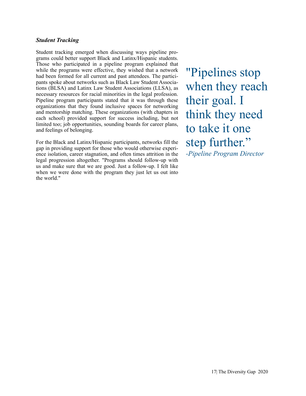#### *Student Tracking*

Student tracking emerged when discussing ways pipeline programs could better support Black and Latinx/Hispanic students. Those who participated in a pipeline program explained that while the programs were effective, they wished that a network had been formed for all current and past attendees. The participants spoke about networks such as Black Law Student Associations (BLSA) and Latinx Law Student Associations (LLSA), as necessary resources for racial minorities in the legal profession. Pipeline program participants stated that it was through these organizations that they found inclusive spaces for networking and mentorship matching. These organizations (with chapters in each school) provided support for success including, but not limited too; job opportunities, sounding boards for career plans, and feelings of belonging.

For the Black and Latinx/Hispanic participants, networks fill the gap in providing support for those who would otherwise experience isolation, career stagnation, and often times attrition in the legal progression altogether. "Programs should follow-up with us and make sure that we are good. Just a follow-up. I felt like when we were done with the program they just let us out into the world."

"Pipelines stop when they reach their goal. I think they need to take it one step further." *-Pipeline Program Director*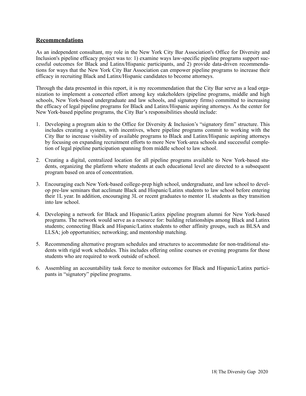#### **Recommendations**

As an independent consultant, my role in the New York City Bar Association's Office for Diversity and Inclusion's pipeline efficacy project was to: 1) examine ways law-specific pipeline programs support successful outcomes for Black and Latinx/Hispanic participants, and 2) provide data-driven recommendations for ways that the New York City Bar Association can empower pipeline programs to increase their efficacy in recruiting Black and Latinx/Hispanic candidates to become attorneys.

Through the data presented in this report, it is my recommendation that the City Bar serve as a lead organization to implement a concerted effort among key stakeholders (pipeline programs, middle and high schools, New York-based undergraduate and law schools, and signatory firms) committed to increasing the efficacy of legal pipeline programs for Black and Latinx/Hispanic aspiring attorneys. As the center for New York-based pipeline programs, the City Bar's responsibilities should include:

- 1. Developing a program akin to the Office for Diversity & Inclusion's "signatory firm" structure. This includes creating a system, with incentives, where pipeline programs commit to working with the City Bar to increase visibility of available programs to Black and Latinx/Hispanic aspiring attorneys by focusing on expanding recruitment efforts to more New York-area schools and successful completion of legal pipeline participation spanning from middle school to law school.
- 2. Creating a digital, centralized location for all pipeline programs available to New York-based students, organizing the platform where students at each educational level are directed to a subsequent program based on area of concentration.
- 3. Encouraging each New York-based college-prep high school, undergraduate, and law school to develop pre-law seminars that acclimate Black and Hispanic/Latinx students to law school before entering their 1L year. In addition, encouraging 3L or recent graduates to mentor 1L students as they transition into law school.
- 4. Developing a network for Black and Hispanic/Latinx pipeline program alumni for New York-based programs. The network would serve as a resource for: building relationships among Black and Latinx students; connecting Black and Hispanic/Latinx students to other affinity groups, such as BLSA and LLSA; job opportunities; networking; and mentorship matching.
- 5. Recommending alternative program schedules and structures to accommodate for non-traditional students with rigid work schedules. This includes offering online courses or evening programs for those students who are required to work outside of school.
- 6. Assembling an accountability task force to monitor outcomes for Black and Hispanic/Latinx participants in "signatory" pipeline programs.